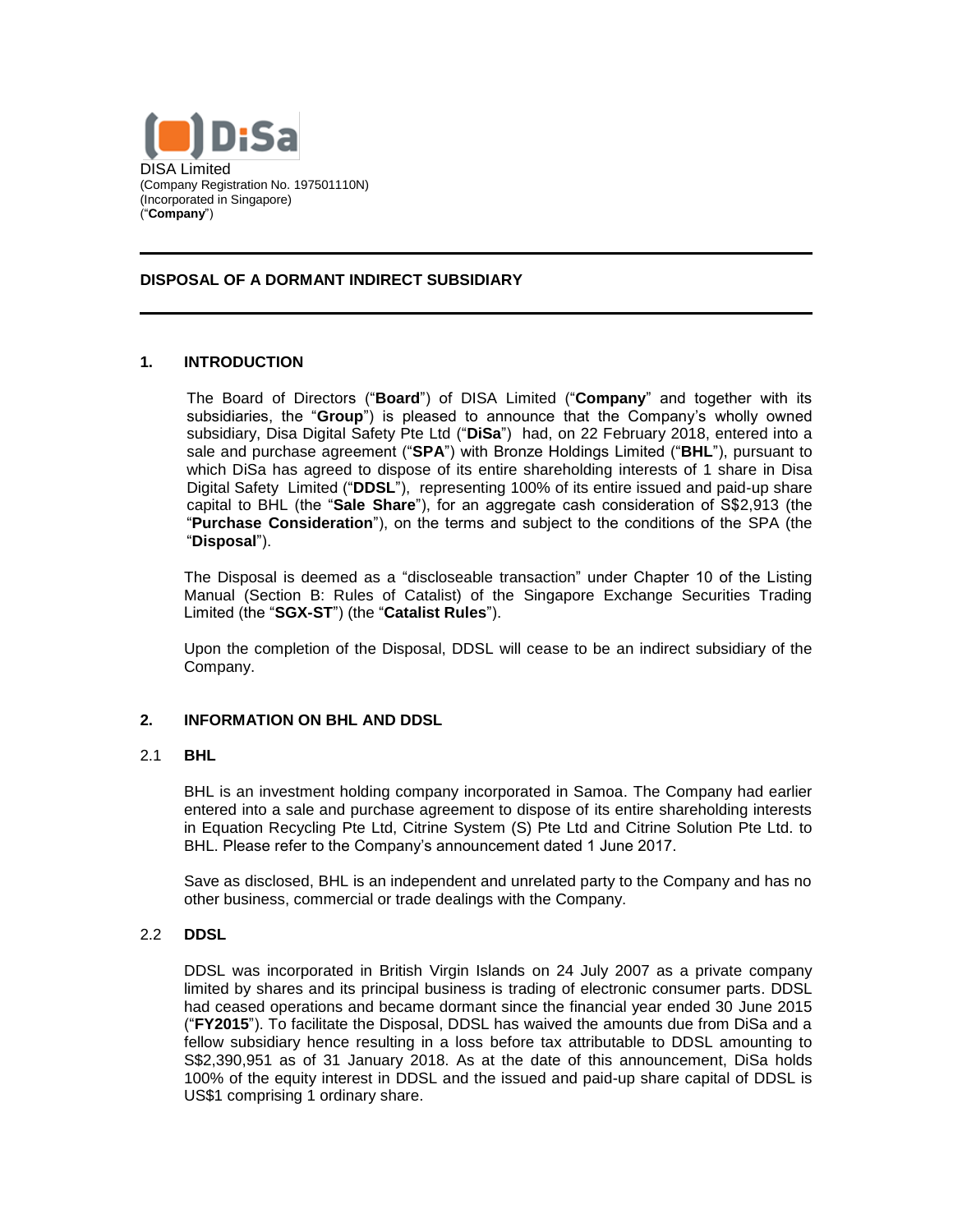

#### **DISPOSAL OF A DORMANT INDIRECT SUBSIDIARY**

### **1. INTRODUCTION**

The Board of Directors ("**Board**") of DISA Limited ("**Company**" and together with its subsidiaries, the "**Group**") is pleased to announce that the Company's wholly owned subsidiary, Disa Digital Safety Pte Ltd ("**DiSa**") had, on 22 February 2018, entered into a sale and purchase agreement ("**SPA**") with Bronze Holdings Limited ("**BHL**"), pursuant to which DiSa has agreed to dispose of its entire shareholding interests of 1 share in Disa Digital Safety Limited ("**DDSL**"), representing 100% of its entire issued and paid-up share capital to BHL (the "**Sale Share**"), for an aggregate cash consideration of S\$2,913 (the "**Purchase Consideration**"), on the terms and subject to the conditions of the SPA (the "**Disposal**").

The Disposal is deemed as a "discloseable transaction" under Chapter 10 of the Listing Manual (Section B: Rules of Catalist) of the Singapore Exchange Securities Trading Limited (the "**SGX-ST**") (the "**Catalist Rules**").

Upon the completion of the Disposal, DDSL will cease to be an indirect subsidiary of the Company.

### **2. INFORMATION ON BHL AND DDSL**

#### 2.1 **BHL**

BHL is an investment holding company incorporated in Samoa. The Company had earlier entered into a sale and purchase agreement to dispose of its entire shareholding interests in Equation Recycling Pte Ltd, Citrine System (S) Pte Ltd and Citrine Solution Pte Ltd. to BHL. Please refer to the Company's announcement dated 1 June 2017.

Save as disclosed, BHL is an independent and unrelated party to the Company and has no other business, commercial or trade dealings with the Company.

#### 2.2 **DDSL**

DDSL was incorporated in British Virgin Islands on 24 July 2007 as a private company limited by shares and its principal business is trading of electronic consumer parts. DDSL had ceased operations and became dormant since the financial year ended 30 June 2015 ("**FY2015**"). To facilitate the Disposal, DDSL has waived the amounts due from DiSa and a fellow subsidiary hence resulting in a loss before tax attributable to DDSL amounting to S\$2,390,951 as of 31 January 2018. As at the date of this announcement, DiSa holds 100% of the equity interest in DDSL and the issued and paid-up share capital of DDSL is US\$1 comprising 1 ordinary share.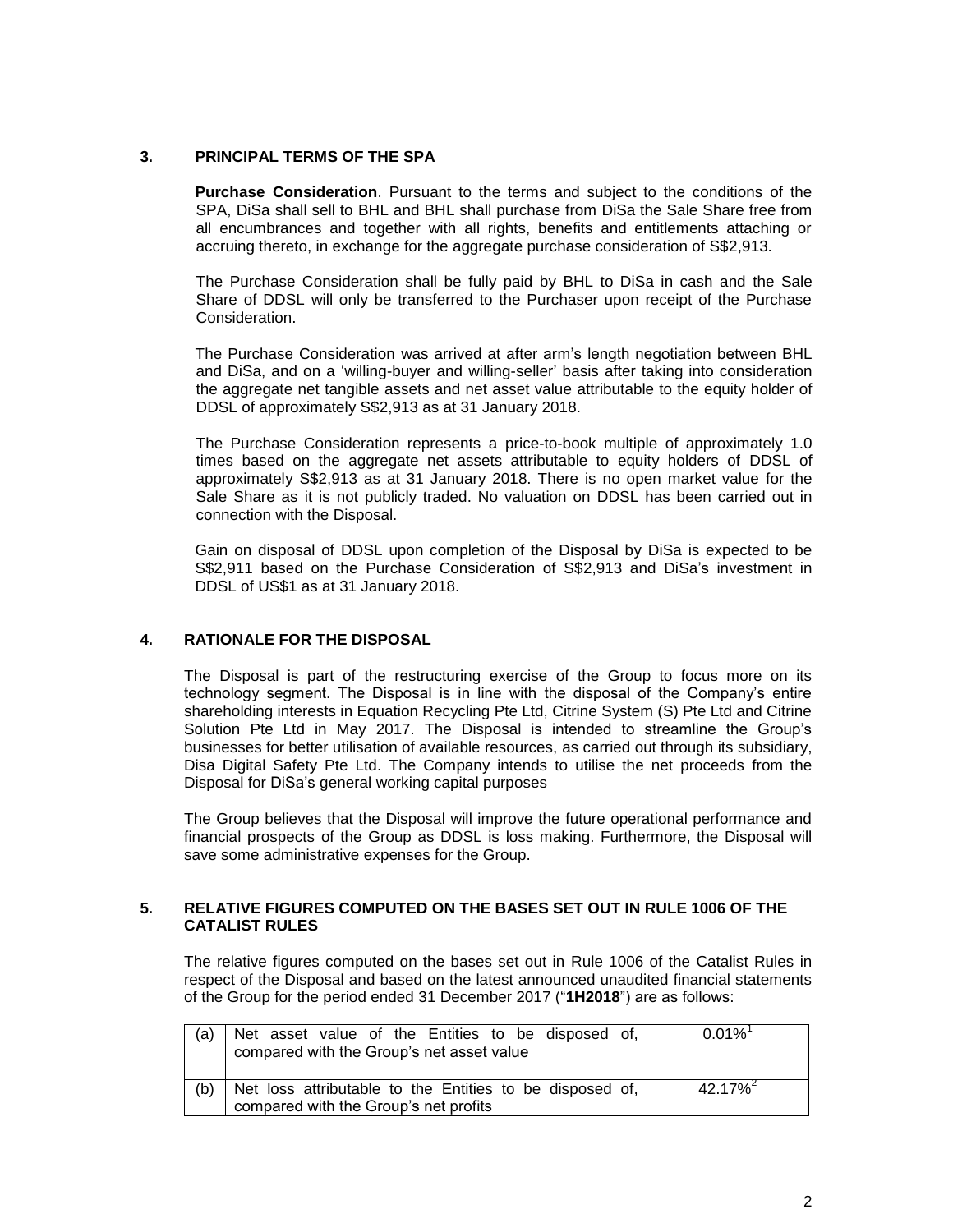## **3. PRINCIPAL TERMS OF THE SPA**

**Purchase Consideration**. Pursuant to the terms and subject to the conditions of the SPA, DiSa shall sell to BHL and BHL shall purchase from DiSa the Sale Share free from all encumbrances and together with all rights, benefits and entitlements attaching or accruing thereto, in exchange for the aggregate purchase consideration of S\$2,913.

The Purchase Consideration shall be fully paid by BHL to DiSa in cash and the Sale Share of DDSL will only be transferred to the Purchaser upon receipt of the Purchase Consideration.

The Purchase Consideration was arrived at after arm's length negotiation between BHL and DiSa, and on a 'willing-buyer and willing-seller' basis after taking into consideration the aggregate net tangible assets and net asset value attributable to the equity holder of DDSL of approximately S\$2,913 as at 31 January 2018.

The Purchase Consideration represents a price-to-book multiple of approximately 1.0 times based on the aggregate net assets attributable to equity holders of DDSL of approximately S\$2,913 as at 31 January 2018. There is no open market value for the Sale Share as it is not publicly traded. No valuation on DDSL has been carried out in connection with the Disposal.

Gain on disposal of DDSL upon completion of the Disposal by DiSa is expected to be S\$2,911 based on the Purchase Consideration of S\$2,913 and DiSa's investment in DDSL of US\$1 as at 31 January 2018.

# **4. RATIONALE FOR THE DISPOSAL**

The Disposal is part of the restructuring exercise of the Group to focus more on its technology segment. The Disposal is in line with the disposal of the Company's entire shareholding interests in Equation Recycling Pte Ltd, Citrine System (S) Pte Ltd and Citrine Solution Pte Ltd in May 2017. The Disposal is intended to streamline the Group's businesses for better utilisation of available resources, as carried out through its subsidiary, Disa Digital Safety Pte Ltd. The Company intends to utilise the net proceeds from the Disposal for DiSa's general working capital purposes

The Group believes that the Disposal will improve the future operational performance and financial prospects of the Group as DDSL is loss making. Furthermore, the Disposal will save some administrative expenses for the Group.

#### **5. RELATIVE FIGURES COMPUTED ON THE BASES SET OUT IN RULE 1006 OF THE CATALIST RULES**

The relative figures computed on the bases set out in Rule 1006 of the Catalist Rules in respect of the Disposal and based on the latest announced unaudited financial statements of the Group for the period ended 31 December 2017 ("**1H2018**") are as follows:

| (a) | Net asset value of the Entities to be disposed of,<br>compared with the Group's net asset value   | $0.01\%$  |
|-----|---------------------------------------------------------------------------------------------------|-----------|
| (b) | Net loss attributable to the Entities to be disposed of,<br>compared with the Group's net profits | $42.17\%$ |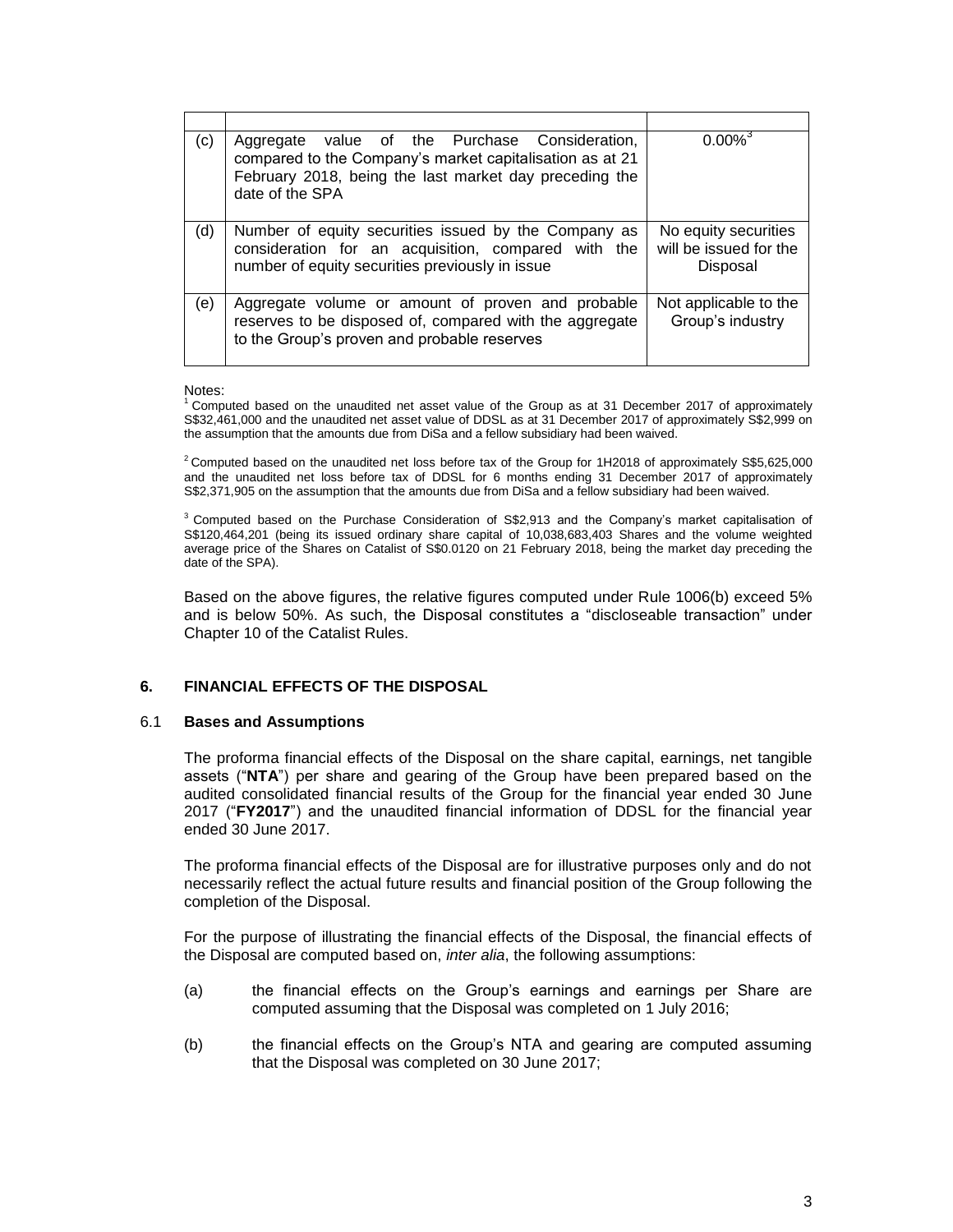| (c) | Aggregate value of the Purchase Consideration,<br>compared to the Company's market capitalisation as at 21<br>February 2018, being the last market day preceding the<br>date of the SPA | $0.00\%$ <sup>3</sup>                                      |
|-----|-----------------------------------------------------------------------------------------------------------------------------------------------------------------------------------------|------------------------------------------------------------|
| (d) | Number of equity securities issued by the Company as<br>consideration for an acquisition, compared with the<br>number of equity securities previously in issue                          | No equity securities<br>will be issued for the<br>Disposal |
| (e) | Aggregate volume or amount of proven and probable<br>reserves to be disposed of, compared with the aggregate<br>to the Group's proven and probable reserves                             | Not applicable to the<br>Group's industry                  |

#### Notes:

 $1$  Computed based on the unaudited net asset value of the Group as at 31 December 2017 of approximately S\$32,461,000 and the unaudited net asset value of DDSL as at 31 December 2017 of approximately S\$2,999 on the assumption that the amounts due from DiSa and a fellow subsidiary had been waived.

 $2$  Computed based on the unaudited net loss before tax of the Group for 1H2018 of approximately S\$5,625,000 and the unaudited net loss before tax of DDSL for 6 months ending 31 December 2017 of approximately S\$2,371,905 on the assumption that the amounts due from DiSa and a fellow subsidiary had been waived.

 $3$  Computed based on the Purchase Consideration of S\$2,913 and the Company's market capitalisation of S\$120,464,201 (being its issued ordinary share capital of 10,038,683,403 Shares and the volume weighted average price of the Shares on Catalist of S\$0.0120 on 21 February 2018, being the market day preceding the date of the SPA).

Based on the above figures, the relative figures computed under Rule 1006(b) exceed 5% and is below 50%. As such, the Disposal constitutes a "discloseable transaction" under Chapter 10 of the Catalist Rules.

#### **6. FINANCIAL EFFECTS OF THE DISPOSAL**

#### 6.1 **Bases and Assumptions**

The proforma financial effects of the Disposal on the share capital, earnings, net tangible assets ("**NTA**") per share and gearing of the Group have been prepared based on the audited consolidated financial results of the Group for the financial year ended 30 June 2017 ("**FY2017**") and the unaudited financial information of DDSL for the financial year ended 30 June 2017.

The proforma financial effects of the Disposal are for illustrative purposes only and do not necessarily reflect the actual future results and financial position of the Group following the completion of the Disposal.

For the purpose of illustrating the financial effects of the Disposal, the financial effects of the Disposal are computed based on, *inter alia*, the following assumptions:

- (a) the financial effects on the Group's earnings and earnings per Share are computed assuming that the Disposal was completed on 1 July 2016;
- (b) the financial effects on the Group's NTA and gearing are computed assuming that the Disposal was completed on 30 June 2017;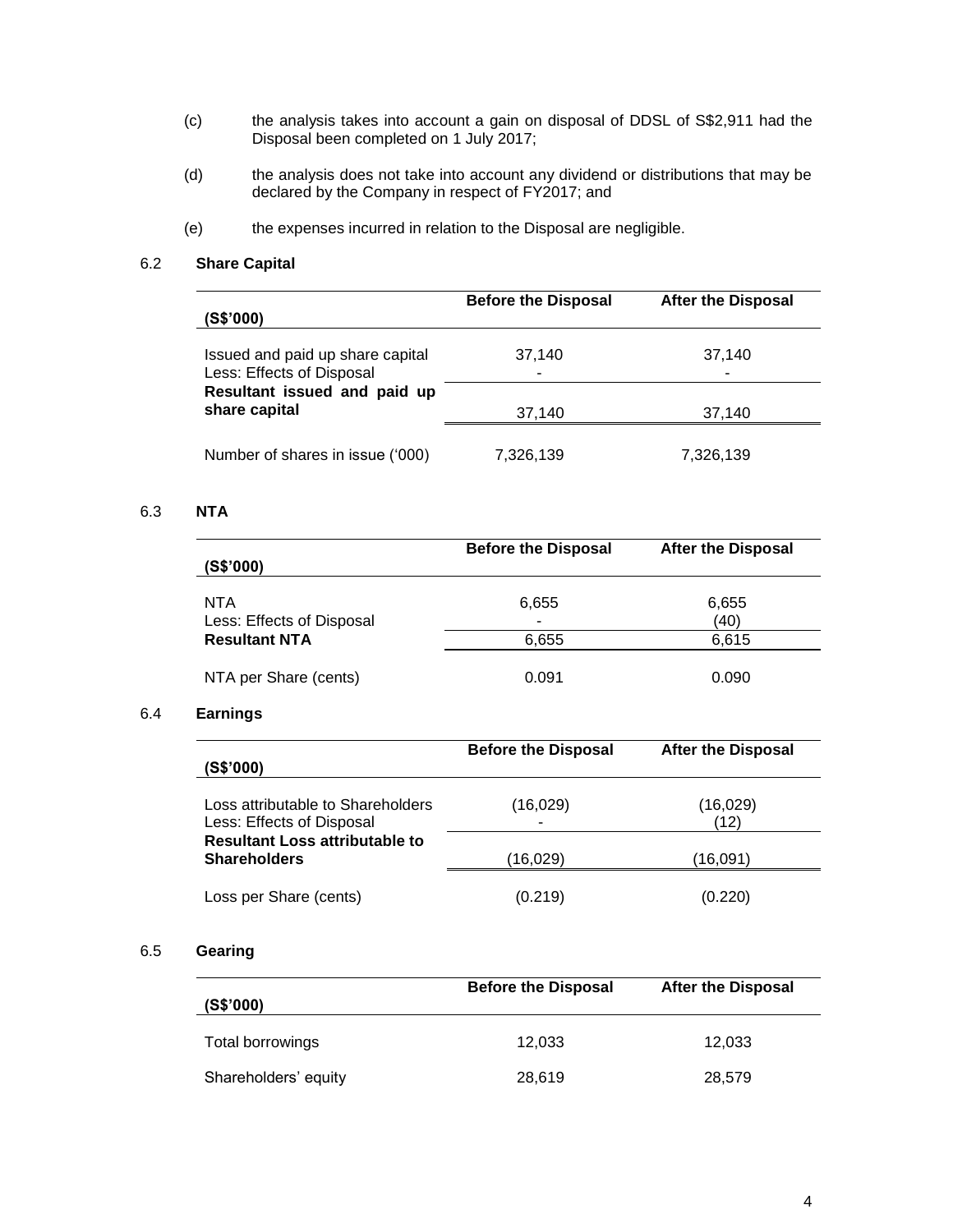- (c) the analysis takes into account a gain on disposal of DDSL of S\$2,911 had the Disposal been completed on 1 July 2017;
- (d) the analysis does not take into account any dividend or distributions that may be declared by the Company in respect of FY2017; and
- (e) the expenses incurred in relation to the Disposal are negligible.

### 6.2 **Share Capital**

| (S\$'000)                                                     | <b>Before the Disposal</b> | <b>After the Disposal</b> |
|---------------------------------------------------------------|----------------------------|---------------------------|
| Issued and paid up share capital<br>Less: Effects of Disposal | 37,140<br>٠                | 37,140<br>-               |
| Resultant issued and paid up<br>share capital                 | 37,140                     | 37,140                    |
| Number of shares in issue ('000)                              | 7,326,139                  | 7,326,139                 |

# 6.3 **NTA**

| (S\$'000)                                                | <b>Before the Disposal</b> | <b>After the Disposal</b> |
|----------------------------------------------------------|----------------------------|---------------------------|
| NTA<br>Less: Effects of Disposal<br><b>Resultant NTA</b> | 6,655<br>-                 | 6,655<br>(40)             |
|                                                          | 6,655                      | 6,615                     |
| NTA per Share (cents)                                    | 0.091                      | 0.090                     |

# 6.4 **Earnings**

| (S\$'000)                                                      | <b>Before the Disposal</b> | <b>After the Disposal</b> |
|----------------------------------------------------------------|----------------------------|---------------------------|
| Loss attributable to Shareholders<br>Less: Effects of Disposal | (16, 029)                  | (16,029)<br>(12)          |
| <b>Resultant Loss attributable to</b><br><b>Shareholders</b>   | (16,029)                   | (16,091)                  |
| Loss per Share (cents)                                         | (0.219)                    | (0.220)                   |

# 6.5 **Gearing**

| (S\$'000)            | <b>Before the Disposal</b> | <b>After the Disposal</b> |
|----------------------|----------------------------|---------------------------|
| Total borrowings     | 12.033                     | 12,033                    |
| Shareholders' equity | 28,619                     | 28,579                    |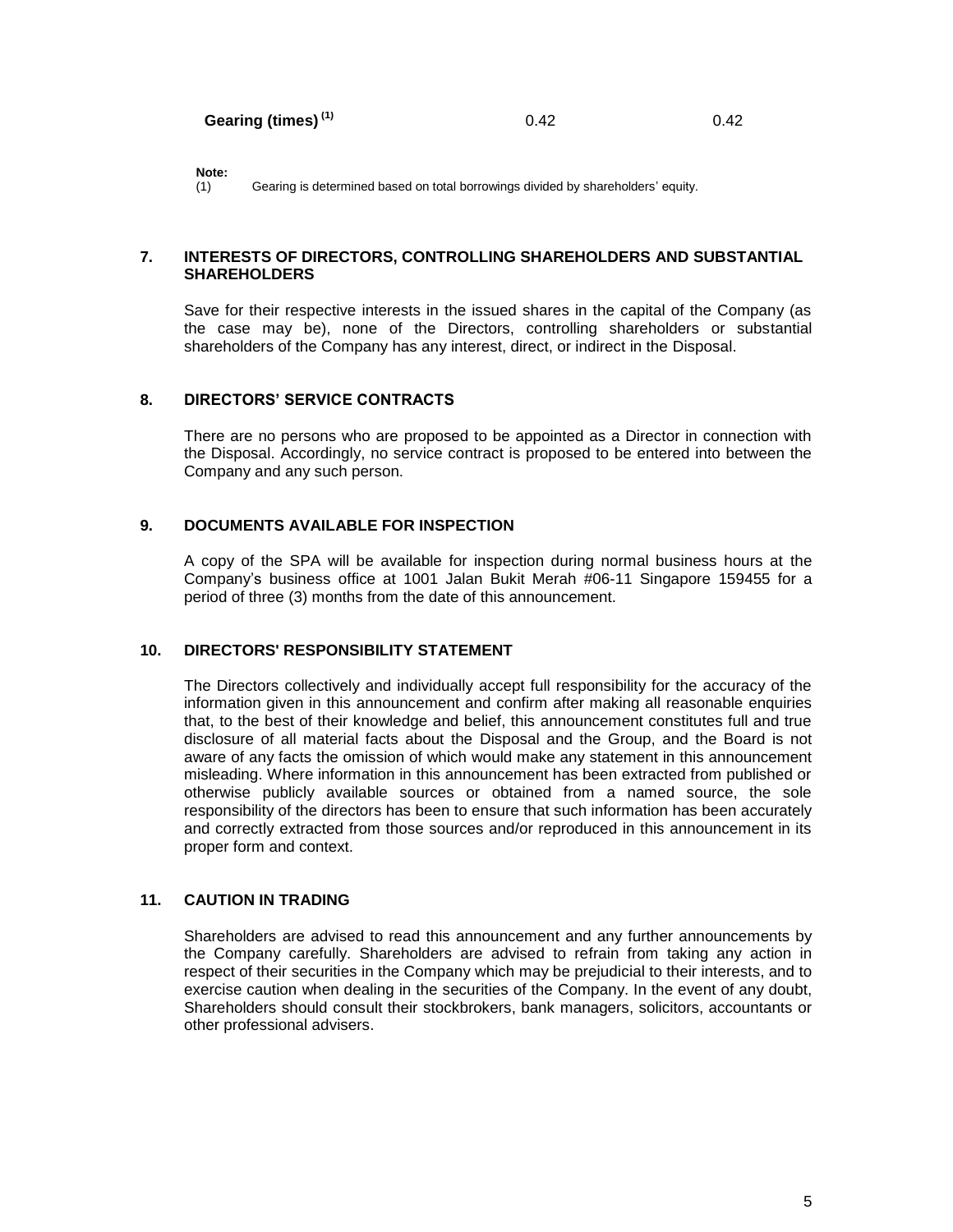**Note:**

(1) Gearing is determined based on total borrowings divided by shareholders' equity.

#### **7. INTERESTS OF DIRECTORS, CONTROLLING SHAREHOLDERS AND SUBSTANTIAL SHAREHOLDERS**

Save for their respective interests in the issued shares in the capital of the Company (as the case may be), none of the Directors, controlling shareholders or substantial shareholders of the Company has any interest, direct, or indirect in the Disposal.

### **8. DIRECTORS' SERVICE CONTRACTS**

There are no persons who are proposed to be appointed as a Director in connection with the Disposal. Accordingly, no service contract is proposed to be entered into between the Company and any such person.

### **9. DOCUMENTS AVAILABLE FOR INSPECTION**

A copy of the SPA will be available for inspection during normal business hours at the Company's business office at 1001 Jalan Bukit Merah #06-11 Singapore 159455 for a period of three (3) months from the date of this announcement.

# **10. DIRECTORS' RESPONSIBILITY STATEMENT**

The Directors collectively and individually accept full responsibility for the accuracy of the information given in this announcement and confirm after making all reasonable enquiries that, to the best of their knowledge and belief, this announcement constitutes full and true disclosure of all material facts about the Disposal and the Group, and the Board is not aware of any facts the omission of which would make any statement in this announcement misleading. Where information in this announcement has been extracted from published or otherwise publicly available sources or obtained from a named source, the sole responsibility of the directors has been to ensure that such information has been accurately and correctly extracted from those sources and/or reproduced in this announcement in its proper form and context.

# **11. CAUTION IN TRADING**

Shareholders are advised to read this announcement and any further announcements by the Company carefully. Shareholders are advised to refrain from taking any action in respect of their securities in the Company which may be prejudicial to their interests, and to exercise caution when dealing in the securities of the Company. In the event of any doubt, Shareholders should consult their stockbrokers, bank managers, solicitors, accountants or other professional advisers.